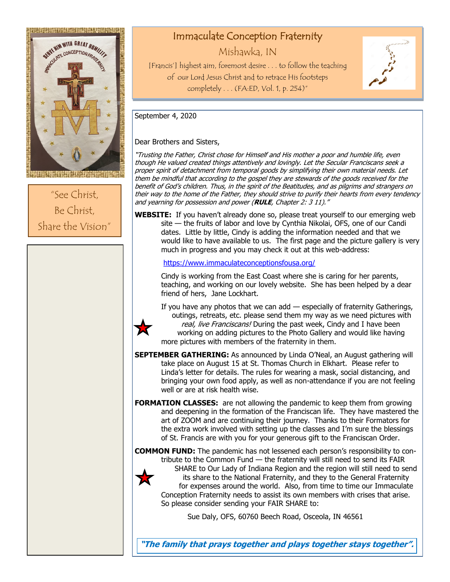

"See Christ, Be Christ, Share the Vision"

# Immaculate Conception Fraternity

Mishawka, IN

[Francis'] highest aim, foremost desire . . . to follow the teaching of our Lord Jesus Christ and to retrace His footsteps completely . . . (FA:ED, Vol. 1, p. 254)"



September 4, 2020

☆

# Dear Brothers and Sisters,

"Trusting the Father, Christ chose for Himself and His mother a poor and humble life, even though He valued created things attentively and lovingly. Let the Secular Franciscans seek a proper spirit of detachment from temporal goods by simplifying their own material needs. Let them be mindful that according to the gospel they are stewards of the goods received for the benefit of God's children. Thus, in the spirit of the Beatitudes, and as pilgrims and strangers on their way to the home of the Father, they should strive to purify their hearts from every tendency and yearning for possession and power (**RULE**, Chapter 2: 3 11)."

**WEBSITE:** If you haven't already done so, please treat yourself to our emerging web site — the fruits of labor and love by Cynthia Nikolai, OFS, one of our Candi dates. Little by little, Cindy is adding the information needed and that we would like to have available to us. The first page and the picture gallery is very much in progress and you may check it out at this web-address:

<https://www.immaculateconceptionsfousa.org/>

Cindy is working from the East Coast where she is caring for her parents, teaching, and working on our lovely website. She has been helped by a dear friend of hers, Jane Lockhart.

If you have any photos that we can add — especially of fraternity Gatherings, outings, retreats, etc. please send them my way as we need pictures with real, live Franciscans! During the past week, Cindy and I have been working on adding pictures to the Photo Gallery and would like having more pictures with members of the fraternity in them.

- **SEPTEMBER GATHERING:** As announced by Linda O'Neal, an August gathering will take place on August 15 at St. Thomas Church in Elkhart. Please refer to Linda's letter for details. The rules for wearing a mask, social distancing, and bringing your own food apply, as well as non-attendance if you are not feeling well or are at risk health wise.
- **FORMATION CLASSES:** are not allowing the pandemic to keep them from growing and deepening in the formation of the Franciscan life. They have mastered the art of ZOOM and are continuing their journey. Thanks to their Formators for the extra work involved with setting up the classes and I'm sure the blessings of St. Francis are with you for your generous gift to the Franciscan Order.

**COMMON FUND:** The pandemic has not lessened each person's responsibility to contribute to the Common Fund — the fraternity will still need to send its FAIR SHARE to Our Lady of Indiana Region and the region will still need to send its share to the National Fraternity, and they to the General Fraternity Х for expenses around the world. Also, from time to time our Immaculate Conception Fraternity needs to assist its own members with crises that arise. So please consider sending your FAIR SHARE to:

Sue Daly, OFS, 60760 Beech Road, Osceola, IN 46561

**"The family that prays together and plays together stays together".**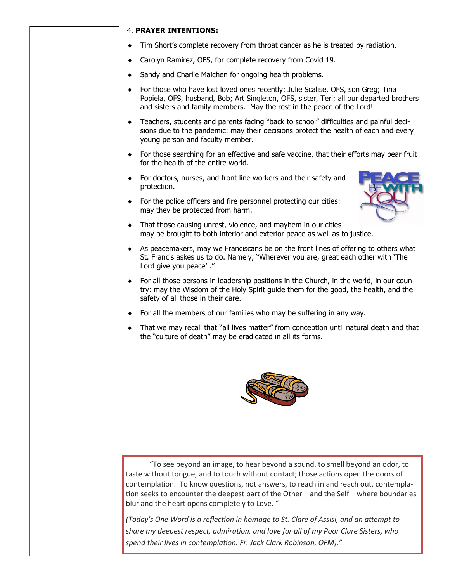## 4. **PRAYER INTENTIONS:**

- Tim Short's complete recovery from throat cancer as he is treated by radiation.
- Carolyn Ramirez, OFS, for complete recovery from Covid 19.
- ◆ Sandy and Charlie Maichen for ongoing health problems.
- For those who have lost loved ones recently: Julie Scalise, OFS, son Greg; Tina Popiela, OFS, husband, Bob; Art Singleton, OFS, sister, Teri; all our departed brothers and sisters and family members. May the rest in the peace of the Lord!
- Teachers, students and parents facing "back to school" difficulties and painful decisions due to the pandemic: may their decisions protect the health of each and every young person and faculty member.
- For those searching for an effective and safe vaccine, that their efforts may bear fruit for the health of the entire world.
- For doctors, nurses, and front line workers and their safety and protection.
- For the police officers and fire personnel protecting our cities: may they be protected from harm.



- That those causing unrest, violence, and mayhem in our cities may be brought to both interior and exterior peace as well as to justice.
- As peacemakers, may we Franciscans be on the front lines of offering to others what St. Francis askes us to do. Namely, "Wherever you are, great each other with 'The Lord give you peace' ."
- For all those persons in leadership positions in the Church, in the world, in our country: may the Wisdom of the Holy Spirit guide them for the good, the health, and the safety of all those in their care.
- For all the members of our families who may be suffering in any way.
- That we may recall that "all lives matter" from conception until natural death and that the "culture of death" may be eradicated in all its forms.



 "To see beyond an image, to hear beyond a sound, to smell beyond an odor, to taste without tongue, and to touch without contact; those actions open the doors of contemplation. To know questions, not answers, to reach in and reach out, contemplation seeks to encounter the deepest part of the Other – and the Self – where boundaries blur and the heart opens completely to Love. "

*(Today's One Word is a reflection in homage to St. Clare of Assisi, and an attempt to share my deepest respect, admiration, and love for all of my Poor Clare Sisters, who spend their lives in contemplation. Fr. Jack Clark Robinson, OFM)."*